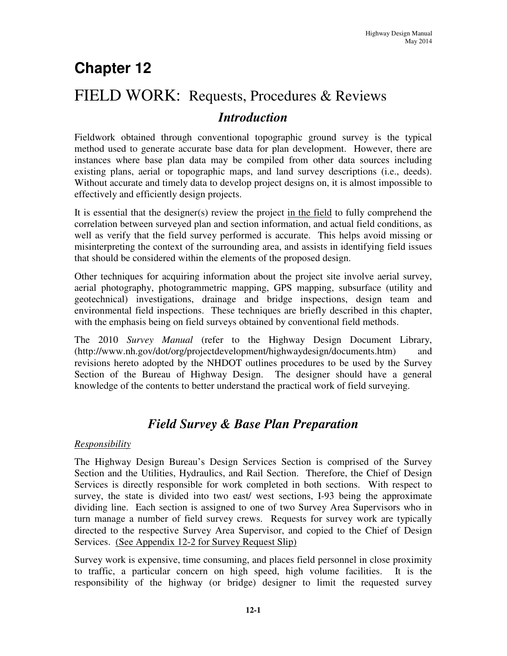# **Chapter 12**

# FIELD WORK: Requests, Procedures & Reviews *Introduction*

Fieldwork obtained through conventional topographic ground survey is the typical method used to generate accurate base data for plan development. However, there are instances where base plan data may be compiled from other data sources including existing plans, aerial or topographic maps, and land survey descriptions (i.e., deeds). Without accurate and timely data to develop project designs on, it is almost impossible to effectively and efficiently design projects.

It is essential that the designer(s) review the project in the field to fully comprehend the correlation between surveyed plan and section information, and actual field conditions, as well as verify that the field survey performed is accurate. This helps avoid missing or misinterpreting the context of the surrounding area, and assists in identifying field issues that should be considered within the elements of the proposed design.

Other techniques for acquiring information about the project site involve aerial survey, aerial photography, photogrammetric mapping, GPS mapping, subsurface (utility and geotechnical) investigations, drainage and bridge inspections, design team and environmental field inspections. These techniques are briefly described in this chapter, with the emphasis being on field surveys obtained by conventional field methods.

The 2010 *Survey Manual* (refer to the Highway Design Document Library, (http://www.nh.gov/dot/org/projectdevelopment/highwaydesign/documents.htm) and revisions hereto adopted by the NHDOT outlines procedures to be used by the Survey Section of the Bureau of Highway Design. The designer should have a general knowledge of the contents to better understand the practical work of field surveying.

# *Field Survey & Base Plan Preparation*

## *Responsibility*

The Highway Design Bureau's Design Services Section is comprised of the Survey Section and the Utilities, Hydraulics, and Rail Section. Therefore, the Chief of Design Services is directly responsible for work completed in both sections. With respect to survey, the state is divided into two east/ west sections, I-93 being the approximate dividing line. Each section is assigned to one of two Survey Area Supervisors who in turn manage a number of field survey crews. Requests for survey work are typically directed to the respective Survey Area Supervisor, and copied to the Chief of Design Services. (See Appendix 12-2 for Survey Request Slip)

Survey work is expensive, time consuming, and places field personnel in close proximity to traffic, a particular concern on high speed, high volume facilities. It is the responsibility of the highway (or bridge) designer to limit the requested survey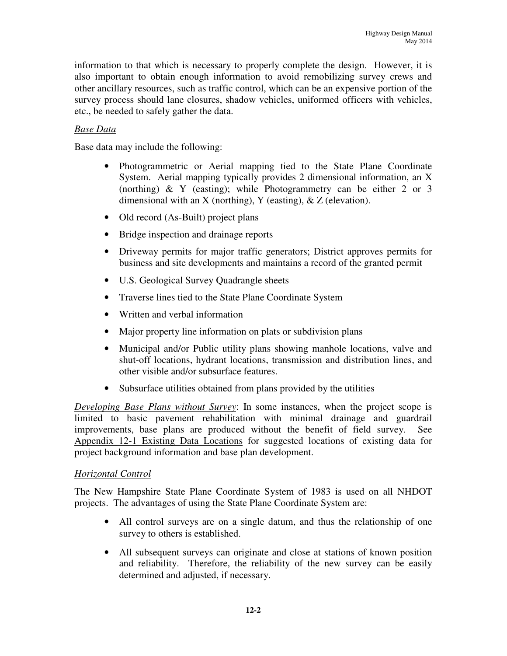information to that which is necessary to properly complete the design. However, it is also important to obtain enough information to avoid remobilizing survey crews and other ancillary resources, such as traffic control, which can be an expensive portion of the survey process should lane closures, shadow vehicles, uniformed officers with vehicles, etc., be needed to safely gather the data.

## *Base Data*

Base data may include the following:

- Photogrammetric or Aerial mapping tied to the State Plane Coordinate System. Aerial mapping typically provides 2 dimensional information, an X (northing) & Y (easting); while Photogrammetry can be either 2 or 3 dimensional with an X (northing), Y (easting),  $\&$  Z (elevation).
- Old record (As-Built) project plans
- Bridge inspection and drainage reports
- Driveway permits for major traffic generators; District approves permits for business and site developments and maintains a record of the granted permit
- U.S. Geological Survey Quadrangle sheets
- Traverse lines tied to the State Plane Coordinate System
- Written and verbal information
- Major property line information on plats or subdivision plans
- Municipal and/or Public utility plans showing manhole locations, valve and shut-off locations, hydrant locations, transmission and distribution lines, and other visible and/or subsurface features.
- Subsurface utilities obtained from plans provided by the utilities

*Developing Base Plans without Survey*: In some instances, when the project scope is limited to basic pavement rehabilitation with minimal drainage and guardrail improvements, base plans are produced without the benefit of field survey. See Appendix 12-1 Existing Data Locations for suggested locations of existing data for project background information and base plan development.

## *Horizontal Control*

The New Hampshire State Plane Coordinate System of 1983 is used on all NHDOT projects. The advantages of using the State Plane Coordinate System are:

- All control surveys are on a single datum, and thus the relationship of one survey to others is established.
- All subsequent surveys can originate and close at stations of known position and reliability. Therefore, the reliability of the new survey can be easily determined and adjusted, if necessary.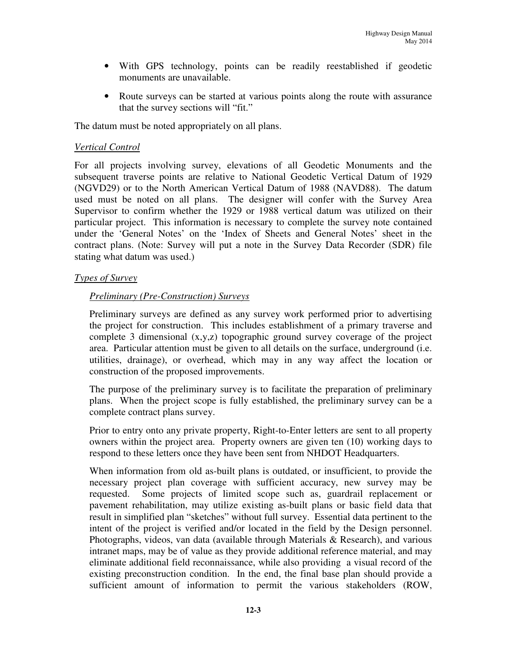- With GPS technology, points can be readily reestablished if geodetic monuments are unavailable.
- Route surveys can be started at various points along the route with assurance that the survey sections will "fit."

The datum must be noted appropriately on all plans.

#### *Vertical Control*

For all projects involving survey, elevations of all Geodetic Monuments and the subsequent traverse points are relative to National Geodetic Vertical Datum of 1929 (NGVD29) or to the North American Vertical Datum of 1988 (NAVD88). The datum used must be noted on all plans. The designer will confer with the Survey Area Supervisor to confirm whether the 1929 or 1988 vertical datum was utilized on their particular project. This information is necessary to complete the survey note contained under the 'General Notes' on the 'Index of Sheets and General Notes' sheet in the contract plans. (Note: Survey will put a note in the Survey Data Recorder (SDR) file stating what datum was used.)

#### *Types of Survey*

#### *Preliminary (Pre-Construction) Surveys*

Preliminary surveys are defined as any survey work performed prior to advertising the project for construction. This includes establishment of a primary traverse and complete 3 dimensional (x,y,z) topographic ground survey coverage of the project area. Particular attention must be given to all details on the surface, underground (i.e. utilities, drainage), or overhead, which may in any way affect the location or construction of the proposed improvements.

The purpose of the preliminary survey is to facilitate the preparation of preliminary plans. When the project scope is fully established, the preliminary survey can be a complete contract plans survey.

Prior to entry onto any private property, Right-to-Enter letters are sent to all property owners within the project area. Property owners are given ten (10) working days to respond to these letters once they have been sent from NHDOT Headquarters.

When information from old as-built plans is outdated, or insufficient, to provide the necessary project plan coverage with sufficient accuracy, new survey may be requested. Some projects of limited scope such as, guardrail replacement or pavement rehabilitation, may utilize existing as-built plans or basic field data that result in simplified plan "sketches" without full survey. Essential data pertinent to the intent of the project is verified and/or located in the field by the Design personnel. Photographs, videos, van data (available through Materials & Research), and various intranet maps, may be of value as they provide additional reference material, and may eliminate additional field reconnaissance, while also providing a visual record of the existing preconstruction condition. In the end, the final base plan should provide a sufficient amount of information to permit the various stakeholders (ROW,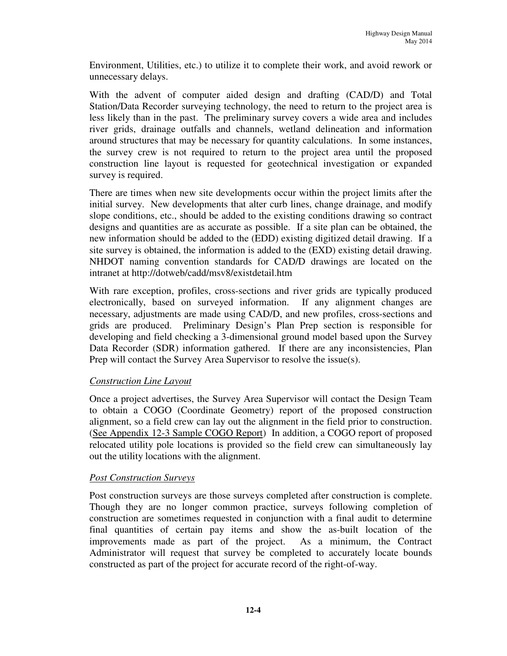Environment, Utilities, etc.) to utilize it to complete their work, and avoid rework or unnecessary delays.

With the advent of computer aided design and drafting (CAD/D) and Total Station/Data Recorder surveying technology, the need to return to the project area is less likely than in the past. The preliminary survey covers a wide area and includes river grids, drainage outfalls and channels, wetland delineation and information around structures that may be necessary for quantity calculations. In some instances, the survey crew is not required to return to the project area until the proposed construction line layout is requested for geotechnical investigation or expanded survey is required.

There are times when new site developments occur within the project limits after the initial survey. New developments that alter curb lines, change drainage, and modify slope conditions, etc., should be added to the existing conditions drawing so contract designs and quantities are as accurate as possible. If a site plan can be obtained, the new information should be added to the (EDD) existing digitized detail drawing. If a site survey is obtained, the information is added to the (EXD) existing detail drawing. NHDOT naming convention standards for CAD/D drawings are located on the intranet at http://dotweb/cadd/msv8/existdetail.htm

With rare exception, profiles, cross-sections and river grids are typically produced electronically, based on surveyed information. If any alignment changes are necessary, adjustments are made using CAD/D, and new profiles, cross-sections and grids are produced. Preliminary Design's Plan Prep section is responsible for developing and field checking a 3-dimensional ground model based upon the Survey Data Recorder (SDR) information gathered. If there are any inconsistencies, Plan Prep will contact the Survey Area Supervisor to resolve the issue(s).

## *Construction Line Layout*

Once a project advertises, the Survey Area Supervisor will contact the Design Team to obtain a COGO (Coordinate Geometry) report of the proposed construction alignment, so a field crew can lay out the alignment in the field prior to construction. (See Appendix 12-3 Sample COGO Report) In addition, a COGO report of proposed relocated utility pole locations is provided so the field crew can simultaneously lay out the utility locations with the alignment.

#### *Post Construction Surveys*

Post construction surveys are those surveys completed after construction is complete. Though they are no longer common practice, surveys following completion of construction are sometimes requested in conjunction with a final audit to determine final quantities of certain pay items and show the as-built location of the improvements made as part of the project. As a minimum, the Contract Administrator will request that survey be completed to accurately locate bounds constructed as part of the project for accurate record of the right-of-way.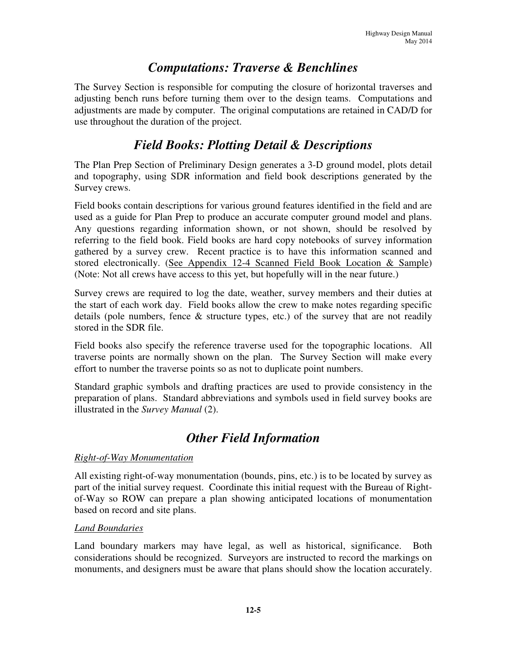# *Computations: Traverse & Benchlines*

The Survey Section is responsible for computing the closure of horizontal traverses and adjusting bench runs before turning them over to the design teams. Computations and adjustments are made by computer. The original computations are retained in CAD/D for use throughout the duration of the project.

# *Field Books: Plotting Detail & Descriptions*

The Plan Prep Section of Preliminary Design generates a 3-D ground model, plots detail and topography, using SDR information and field book descriptions generated by the Survey crews.

Field books contain descriptions for various ground features identified in the field and are used as a guide for Plan Prep to produce an accurate computer ground model and plans. Any questions regarding information shown, or not shown, should be resolved by referring to the field book. Field books are hard copy notebooks of survey information gathered by a survey crew. Recent practice is to have this information scanned and stored electronically. (See Appendix 12-4 Scanned Field Book Location & Sample) (Note: Not all crews have access to this yet, but hopefully will in the near future.)

Survey crews are required to log the date, weather, survey members and their duties at the start of each work day. Field books allow the crew to make notes regarding specific details (pole numbers, fence  $\&$  structure types, etc.) of the survey that are not readily stored in the SDR file.

Field books also specify the reference traverse used for the topographic locations. All traverse points are normally shown on the plan. The Survey Section will make every effort to number the traverse points so as not to duplicate point numbers.

Standard graphic symbols and drafting practices are used to provide consistency in the preparation of plans. Standard abbreviations and symbols used in field survey books are illustrated in the *Survey Manual* (2).

# *Other Field Information*

## *Right-of-Way Monumentation*

All existing right-of-way monumentation (bounds, pins, etc.) is to be located by survey as part of the initial survey request. Coordinate this initial request with the Bureau of Rightof-Way so ROW can prepare a plan showing anticipated locations of monumentation based on record and site plans.

#### *Land Boundaries*

Land boundary markers may have legal, as well as historical, significance. Both considerations should be recognized. Surveyors are instructed to record the markings on monuments, and designers must be aware that plans should show the location accurately.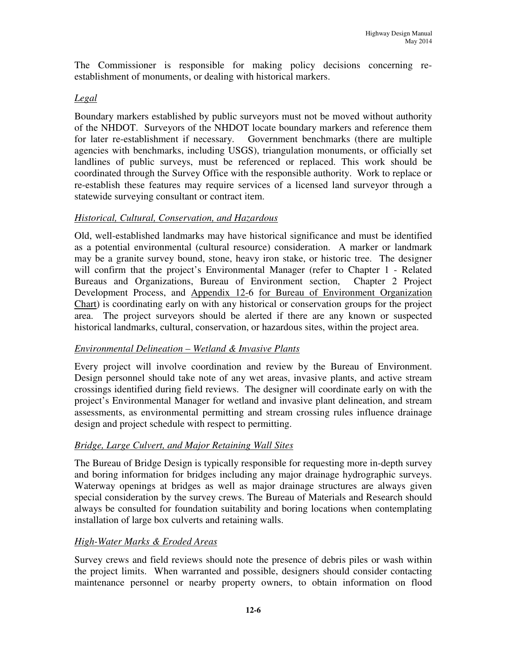The Commissioner is responsible for making policy decisions concerning reestablishment of monuments, or dealing with historical markers.

#### *Legal*

Boundary markers established by public surveyors must not be moved without authority of the NHDOT. Surveyors of the NHDOT locate boundary markers and reference them for later re-establishment if necessary. Government benchmarks (there are multiple agencies with benchmarks, including USGS), triangulation monuments, or officially set landlines of public surveys, must be referenced or replaced. This work should be coordinated through the Survey Office with the responsible authority. Work to replace or re-establish these features may require services of a licensed land surveyor through a statewide surveying consultant or contract item.

#### *Historical, Cultural, Conservation, and Hazardous*

Old, well-established landmarks may have historical significance and must be identified as a potential environmental (cultural resource) consideration. A marker or landmark may be a granite survey bound, stone, heavy iron stake, or historic tree. The designer will confirm that the project's Environmental Manager (refer to Chapter 1 - Related Bureaus and Organizations, Bureau of Environment section, Chapter 2 Project Development Process, and Appendix 12-6 for Bureau of Environment Organization Chart) is coordinating early on with any historical or conservation groups for the project area. The project surveyors should be alerted if there are any known or suspected historical landmarks, cultural, conservation, or hazardous sites, within the project area.

#### *Environmental Delineation – Wetland & Invasive Plants*

Every project will involve coordination and review by the Bureau of Environment. Design personnel should take note of any wet areas, invasive plants, and active stream crossings identified during field reviews. The designer will coordinate early on with the project's Environmental Manager for wetland and invasive plant delineation, and stream assessments, as environmental permitting and stream crossing rules influence drainage design and project schedule with respect to permitting.

#### *Bridge, Large Culvert, and Major Retaining Wall Sites*

The Bureau of Bridge Design is typically responsible for requesting more in-depth survey and boring information for bridges including any major drainage hydrographic surveys. Waterway openings at bridges as well as major drainage structures are always given special consideration by the survey crews. The Bureau of Materials and Research should always be consulted for foundation suitability and boring locations when contemplating installation of large box culverts and retaining walls.

#### *High-Water Marks & Eroded Areas*

Survey crews and field reviews should note the presence of debris piles or wash within the project limits. When warranted and possible, designers should consider contacting maintenance personnel or nearby property owners, to obtain information on flood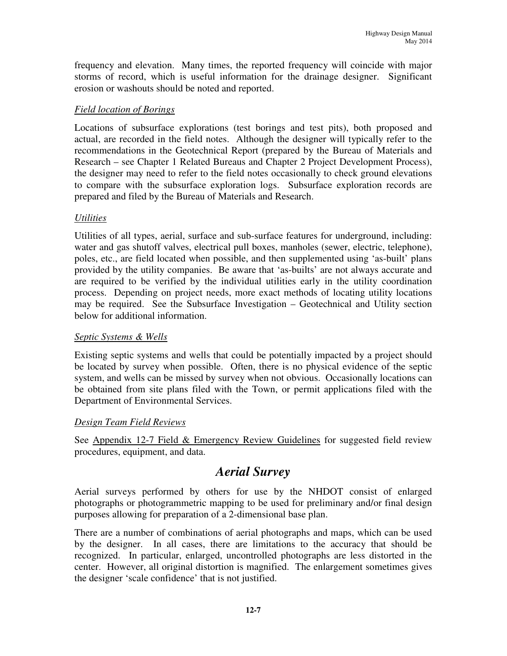frequency and elevation. Many times, the reported frequency will coincide with major storms of record, which is useful information for the drainage designer. Significant erosion or washouts should be noted and reported.

### *Field location of Borings*

Locations of subsurface explorations (test borings and test pits), both proposed and actual, are recorded in the field notes. Although the designer will typically refer to the recommendations in the Geotechnical Report (prepared by the Bureau of Materials and Research – see Chapter 1 Related Bureaus and Chapter 2 Project Development Process), the designer may need to refer to the field notes occasionally to check ground elevations to compare with the subsurface exploration logs. Subsurface exploration records are prepared and filed by the Bureau of Materials and Research.

#### *Utilities*

Utilities of all types, aerial, surface and sub-surface features for underground, including: water and gas shutoff valves, electrical pull boxes, manholes (sewer, electric, telephone), poles, etc., are field located when possible, and then supplemented using 'as-built' plans provided by the utility companies. Be aware that 'as-builts' are not always accurate and are required to be verified by the individual utilities early in the utility coordination process. Depending on project needs, more exact methods of locating utility locations may be required. See the Subsurface Investigation – Geotechnical and Utility section below for additional information.

#### *Septic Systems & Wells*

Existing septic systems and wells that could be potentially impacted by a project should be located by survey when possible. Often, there is no physical evidence of the septic system, and wells can be missed by survey when not obvious. Occasionally locations can be obtained from site plans filed with the Town, or permit applications filed with the Department of Environmental Services.

#### *Design Team Field Reviews*

See Appendix 12-7 Field & Emergency Review Guidelines for suggested field review procedures, equipment, and data.

# *Aerial Survey*

Aerial surveys performed by others for use by the NHDOT consist of enlarged photographs or photogrammetric mapping to be used for preliminary and/or final design purposes allowing for preparation of a 2-dimensional base plan.

There are a number of combinations of aerial photographs and maps, which can be used by the designer. In all cases, there are limitations to the accuracy that should be recognized. In particular, enlarged, uncontrolled photographs are less distorted in the center. However, all original distortion is magnified. The enlargement sometimes gives the designer 'scale confidence' that is not justified.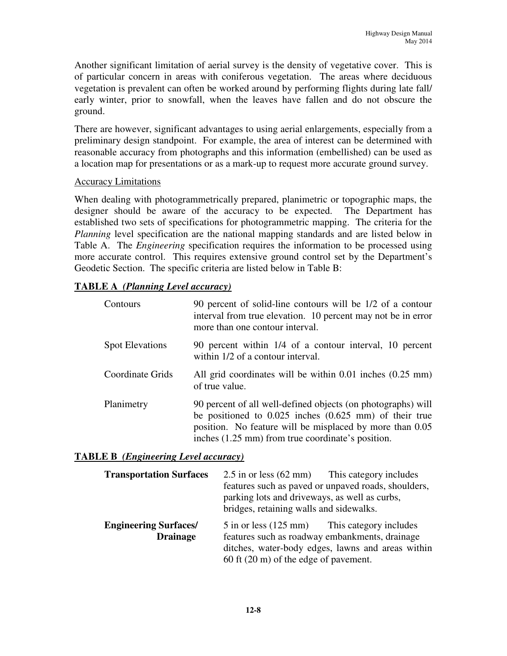Another significant limitation of aerial survey is the density of vegetative cover. This is of particular concern in areas with coniferous vegetation. The areas where deciduous vegetation is prevalent can often be worked around by performing flights during late fall/ early winter, prior to snowfall, when the leaves have fallen and do not obscure the ground.

There are however, significant advantages to using aerial enlargements, especially from a preliminary design standpoint. For example, the area of interest can be determined with reasonable accuracy from photographs and this information (embellished) can be used as a location map for presentations or as a mark-up to request more accurate ground survey.

#### Accuracy Limitations

When dealing with photogrammetrically prepared, planimetric or topographic maps, the designer should be aware of the accuracy to be expected. The Department has established two sets of specifications for photogrammetric mapping. The criteria for the *Planning* level specification are the national mapping standards and are listed below in Table A. The *Engineering* specification requires the information to be processed using more accurate control. This requires extensive ground control set by the Department's Geodetic Section. The specific criteria are listed below in Table B:

#### **TABLE A** *(Planning Level accuracy)*

| Contours               | 90 percent of solid-line contours will be 1/2 of a contour<br>interval from true elevation. 10 percent may not be in error<br>more than one contour interval.                                                                                       |
|------------------------|-----------------------------------------------------------------------------------------------------------------------------------------------------------------------------------------------------------------------------------------------------|
| <b>Spot Elevations</b> | 90 percent within 1/4 of a contour interval, 10 percent<br>within 1/2 of a contour interval.                                                                                                                                                        |
| Coordinate Grids       | All grid coordinates will be within $0.01$ inches $(0.25 \text{ mm})$<br>of true value.                                                                                                                                                             |
| Planimetry             | 90 percent of all well-defined objects (on photographs) will<br>be positioned to $0.025$ inches $(0.625 \text{ mm})$ of their true<br>position. No feature will be misplaced by more than 0.05<br>inches (1.25 mm) from true coordinate's position. |

#### **TABLE B** *(Engineering Level accuracy)*

| <b>Transportation Surfaces</b>                  | 2.5 in or less (62 mm) This category includes<br>features such as paved or unpaved roads, shoulders,<br>parking lots and driveways, as well as curbs,<br>bridges, retaining walls and sidewalks.       |  |
|-------------------------------------------------|--------------------------------------------------------------------------------------------------------------------------------------------------------------------------------------------------------|--|
| <b>Engineering Surfaces/</b><br><b>Drainage</b> | 5 in or less (125 mm) This category includes<br>features such as roadway embankments, drainage<br>ditches, water-body edges, lawns and areas within<br>60 ft $(20 \text{ m})$ of the edge of pavement. |  |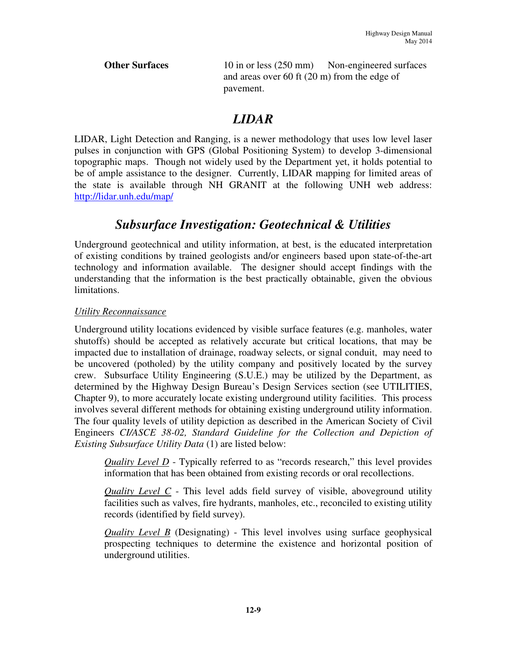**Other Surfaces** 10 in or less (250 mm) Non-engineered surfaces and areas over 60 ft (20 m) from the edge of pavement.

# *LIDAR*

LIDAR, Light Detection and Ranging, is a newer methodology that uses low level laser pulses in conjunction with GPS (Global Positioning System) to develop 3-dimensional topographic maps. Though not widely used by the Department yet, it holds potential to be of ample assistance to the designer. Currently, LIDAR mapping for limited areas of the state is available through NH GRANIT at the following UNH web address: http://lidar.unh.edu/map/

# *Subsurface Investigation: Geotechnical & Utilities*

Underground geotechnical and utility information, at best, is the educated interpretation of existing conditions by trained geologists and/or engineers based upon state-of-the-art technology and information available. The designer should accept findings with the understanding that the information is the best practically obtainable, given the obvious limitations.

## *Utility Reconnaissance*

Underground utility locations evidenced by visible surface features (e.g. manholes, water shutoffs) should be accepted as relatively accurate but critical locations, that may be impacted due to installation of drainage, roadway selects, or signal conduit, may need to be uncovered (potholed) by the utility company and positively located by the survey crew. Subsurface Utility Engineering (S.U.E.) may be utilized by the Department, as determined by the Highway Design Bureau's Design Services section (see UTILITIES, Chapter 9), to more accurately locate existing underground utility facilities. This process involves several different methods for obtaining existing underground utility information. The four quality levels of utility depiction as described in the American Society of Civil Engineers *CI/ASCE 38-02, Standard Guideline for the Collection and Depiction of Existing Subsurface Utility Data* (1) are listed below:

*Quality Level D* - Typically referred to as "records research," this level provides information that has been obtained from existing records or oral recollections.

*Quality Level C* - This level adds field survey of visible, aboveground utility facilities such as valves, fire hydrants, manholes, etc., reconciled to existing utility records (identified by field survey).

*Quality Level B* (Designating) - This level involves using surface geophysical prospecting techniques to determine the existence and horizontal position of underground utilities.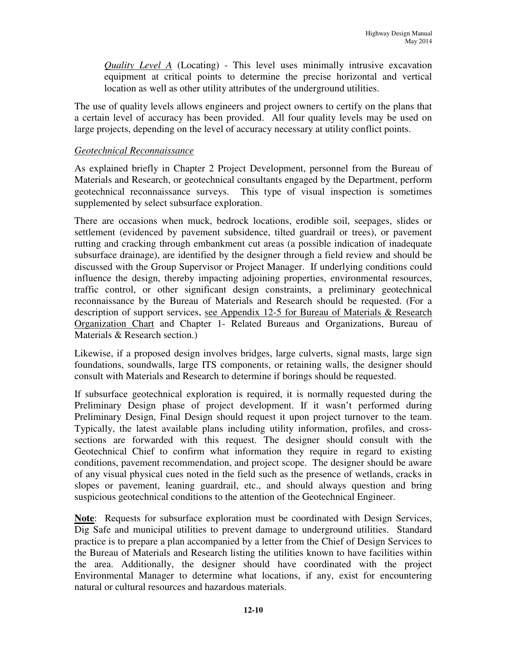*Quality Level A* (Locating) - This level uses minimally intrusive excavation equipment at critical points to determine the precise horizontal and vertical location as well as other utility attributes of the underground utilities.

The use of quality levels allows engineers and project owners to certify on the plans that a certain level of accuracy has been provided. All four quality levels may be used on large projects, depending on the level of accuracy necessary at utility conflict points.

#### *Geotechnical Reconnaissance*

As explained briefly in Chapter 2 Project Development, personnel from the Bureau of Materials and Research, or geotechnical consultants engaged by the Department, perform geotechnical reconnaissance surveys. This type of visual inspection is sometimes supplemented by select subsurface exploration.

There are occasions when muck, bedrock locations, erodible soil, seepages, slides or settlement (evidenced by pavement subsidence, tilted guardrail or trees), or pavement rutting and cracking through embankment cut areas (a possible indication of inadequate subsurface drainage), are identified by the designer through a field review and should be discussed with the Group Supervisor or Project Manager. If underlying conditions could influence the design, thereby impacting adjoining properties, environmental resources, traffic control, or other significant design constraints, a preliminary geotechnical reconnaissance by the Bureau of Materials and Research should be requested. (For a description of support services, see Appendix 12-5 for Bureau of Materials & Research Organization Chart and Chapter 1- Related Bureaus and Organizations, Bureau of Materials & Research section.)

Likewise, if a proposed design involves bridges, large culverts, signal masts, large sign foundations, soundwalls, large ITS components, or retaining walls, the designer should consult with Materials and Research to determine if borings should be requested.

If subsurface geotechnical exploration is required, it is normally requested during the Preliminary Design phase of project development. If it wasn't performed during Preliminary Design, Final Design should request it upon project turnover to the team. Typically, the latest available plans including utility information, profiles, and crosssections are forwarded with this request. The designer should consult with the Geotechnical Chief to confirm what information they require in regard to existing conditions, pavement recommendation, and project scope. The designer should be aware of any visual physical cues noted in the field such as the presence of wetlands, cracks in slopes or pavement, leaning guardrail, etc., and should always question and bring suspicious geotechnical conditions to the attention of the Geotechnical Engineer.

**Note**: Requests for subsurface exploration must be coordinated with Design Services, Dig Safe and municipal utilities to prevent damage to underground utilities. Standard practice is to prepare a plan accompanied by a letter from the Chief of Design Services to the Bureau of Materials and Research listing the utilities known to have facilities within the area. Additionally, the designer should have coordinated with the project Environmental Manager to determine what locations, if any, exist for encountering natural or cultural resources and hazardous materials.